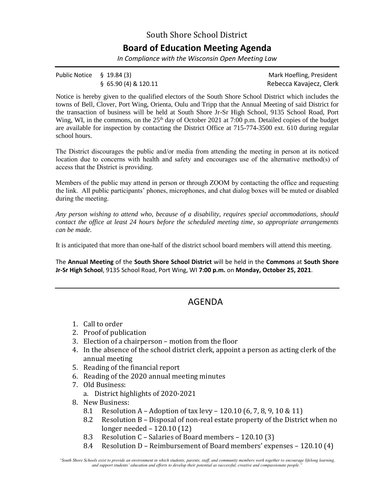## South Shore School District **Board of Education Meeting Agenda**

*In Compliance with the Wisconsin Open Meeting Law*

| Public Notice $\S$ 19.84 (3) |                        | Mark Hoefling, President |
|------------------------------|------------------------|--------------------------|
|                              | $§$ 65.90 (4) & 120.11 | Rebecca Kavajecz, Clerk  |

Notice is hereby given to the qualified electors of the South Shore School District which includes the towns of Bell, Clover, Port Wing, Orienta, Oulu and Tripp that the Annual Meeting of said District for the transaction of business will be held at South Shore Jr-Sr High School, 9135 School Road, Port Wing, WI, in the commons, on the 25<sup>th</sup> day of October 2021 at 7:00 p.m. Detailed copies of the budget are available for inspection by contacting the District Office at 715-774-3500 ext. 610 during regular school hours.

The District discourages the public and/or media from attending the meeting in person at its noticed location due to concerns with health and safety and encourages use of the alternative method(s) of access that the District is providing.

Members of the public may attend in person or through ZOOM by contacting the office and requesting the link. All public participants' phones, microphones, and chat dialog boxes will be muted or disabled during the meeting.

*Any person wishing to attend who, because of a disability, requires special accommodations, should contact the office at least 24 hours before the scheduled meeting time, so appropriate arrangements can be made.* 

It is anticipated that more than one-half of the district school board members will attend this meeting.

The **Annual Meeting** of the **South Shore School District** will be held in the **Commons** at **South Shore Jr-Sr High School**, 9135 School Road, Port Wing, WI **7:00 p.m.** on **Monday, October 25, 2021**.

## AGENDA

- 1. Call to order
- 2. Proof of publication
- 3. Election of a chairperson motion from the floor
- 4. In the absence of the school district clerk, appoint a person as acting clerk of the annual meeting
- 5. Reading of the financial report
- 6. Reading of the 2020 annual meeting minutes
- 7. Old Business:
	- a. District highlights of 2020-2021
- 8. New Business:
	- 8.1 Resolution A Adoption of tax levy 120.10 (6, 7, 8, 9, 10 & 11)
	- 8.2 Resolution B Disposal of non-real estate property of the District when no longer needed – 120.10 (12)
	- 8.3 Resolution C Salaries of Board members 120.10 (3)
	- 8.4 Resolution D Reimbursement of Board members' expenses 120.10 (4)